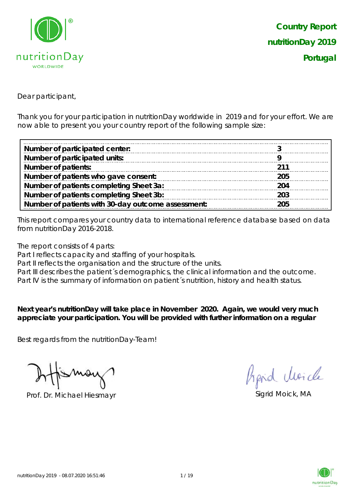

Dear participant,

Thank you for your participation in nutritionDay worldwide in 2019 and for your effort. We are now able to present you your country report of the following sample size:

| Number of participated center:                     |     |
|----------------------------------------------------|-----|
| Number of participated units:                      |     |
| <b>Number of patients:</b>                         | 211 |
| Number of patients who gave consent:               | 205 |
| Number of patients completing Sheet 3a:            | 204 |
| Number of patients completing Sheet 3b:            | 203 |
| Number of patients with 30-day outcome assessment: | 205 |

This report compares your country data to international reference database based on data from nutritionDay 2016-2018.

The report consists of 4 parts:

Part I reflects capacity and staffing of your hospitals.

Part II reflects the organisation and the structure of the units.

Part III describes the patient's demographics, the clinical information and the outcome.

Part IV is the summary of information on patient´s nutrition, history and health status.

**Next year's nutritionDay will take place in November 2020. Again, we would very much appreciate your participation. You will be provided with further information on a regular** 

Best regards from the nutritionDay-Team!

Prof. Dr. Michael Hiesmayr Sigrid Moick, MA

Aprid Moich

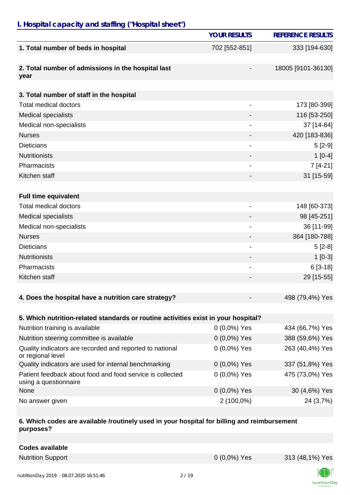### *I. Hospital capacity and staffing ("Hospital sheet")*

|                                                                                    | <b>YOUR RESULTS</b> | <b>REFERENCE RESULTS</b> |
|------------------------------------------------------------------------------------|---------------------|--------------------------|
| 1. Total number of beds in hospital                                                | 702 [552-851]       | 333 [194-630]            |
| 2. Total number of admissions in the hospital last<br>year                         |                     | 18005 [9101-36130]       |
| 3. Total number of staff in the hospital                                           |                     |                          |
| <b>Total medical doctors</b>                                                       |                     | 173 [80-399]             |
| <b>Medical specialists</b>                                                         |                     | 116 [53-250]             |
| Medical non-specialists                                                            |                     | 37 [14-84]               |
| <b>Nurses</b>                                                                      |                     | 420 [183-836]            |
| <b>Dieticians</b>                                                                  |                     | $5[2-9]$                 |
| <b>Nutritionists</b>                                                               |                     | $1[0-4]$                 |
| Pharmacists                                                                        |                     | $7[4-21]$                |
| Kitchen staff                                                                      |                     | 31 [15-59]               |
|                                                                                    |                     |                          |
| <b>Full time equivalent</b>                                                        |                     |                          |
| <b>Total medical doctors</b>                                                       | -                   | 148 [60-373]             |
| <b>Medical specialists</b>                                                         |                     | 98 [45-251]              |
| Medical non-specialists                                                            |                     | 36 [11-99]               |
| <b>Nurses</b>                                                                      |                     | 364 [180-788]            |
| <b>Dieticians</b>                                                                  |                     | $5[2-8]$                 |
| <b>Nutritionists</b>                                                               |                     | $1[0-3]$                 |
| Pharmacists                                                                        |                     | $6[3-18]$                |
| Kitchen staff                                                                      |                     | 29 [15-55]               |
|                                                                                    |                     |                          |
| 4. Does the hospital have a nutrition care strategy?                               |                     | 498 (79,4%) Yes          |
|                                                                                    |                     |                          |
| 5. Which nutrition-related standards or routine activities exist in your hospital? |                     |                          |
| Nutrition training is available                                                    | $0(0,0\%)$ Yes      | 434 (66,7%) Yes          |
| Nutrition steering committee is available                                          | $0(0,0\%)$ Yes      | 388 (59,6%) Yes          |
| Quality indicators are recorded and reported to national<br>or regional level      | $0(0,0\%)$ Yes      | 263 (40,4%) Yes          |
| Quality indicators are used for internal benchmarking                              | 0 (0,0%) Yes        | 337 (51,8%) Yes          |
| Patient feedback about food and food service is collected<br>using a questionnaire | $0(0,0\%)$ Yes      | 475 (73,0%) Yes          |
| None                                                                               | $0(0,0\%)$ Yes      | 30 (4,6%) Yes            |
| No answer given                                                                    | 2 (100,0%)          | 24 (3,7%)                |

### **6. Which codes are available /routinely used in your hospital for billing and reimbursement purposes?**

| <b>Codes available</b> |
|------------------------|
|------------------------|



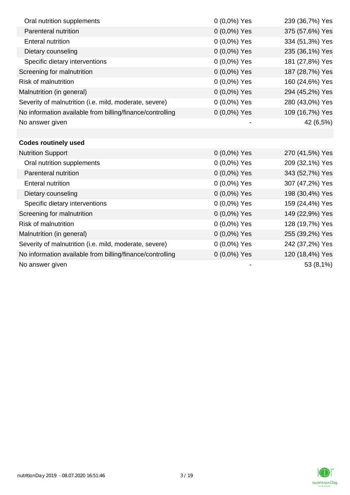| Oral nutrition supplements                                | 0 (0,0%) Yes   | 239 (36,7%) Yes |
|-----------------------------------------------------------|----------------|-----------------|
| Parenteral nutrition                                      | 0 (0,0%) Yes   | 375 (57,6%) Yes |
| <b>Enteral nutrition</b>                                  | 0 (0,0%) Yes   | 334 (51,3%) Yes |
| Dietary counseling                                        | 0 (0,0%) Yes   | 235 (36,1%) Yes |
| Specific dietary interventions                            | 0 (0,0%) Yes   | 181 (27,8%) Yes |
| Screening for malnutrition                                | 0 (0,0%) Yes   | 187 (28,7%) Yes |
| <b>Risk of malnutrition</b>                               | 0 (0,0%) Yes   | 160 (24,6%) Yes |
| Malnutrition (in general)                                 | 0 (0,0%) Yes   | 294 (45,2%) Yes |
| Severity of malnutrition (i.e. mild, moderate, severe)    | 0 (0,0%) Yes   | 280 (43,0%) Yes |
| No information available from billing/finance/controlling | $0(0,0\%)$ Yes | 109 (16,7%) Yes |
| No answer given                                           |                | 42 (6,5%)       |
|                                                           |                |                 |
| <b>Codes routinely used</b>                               |                |                 |
| <b>Nutrition Support</b>                                  | $0(0,0\%)$ Yes | 270 (41,5%) Yes |
| Oral nutrition supplements                                | 0 (0,0%) Yes   | 209 (32,1%) Yes |
| Parenteral nutrition                                      | 0 (0,0%) Yes   | 343 (52,7%) Yes |
| <b>Enteral nutrition</b>                                  | 0 (0,0%) Yes   | 307 (47,2%) Yes |
| Dietary counseling                                        | 0 (0,0%) Yes   | 198 (30,4%) Yes |
| Specific dietary interventions                            | 0 (0,0%) Yes   | 159 (24,4%) Yes |
| Screening for malnutrition                                | 0 (0,0%) Yes   | 149 (22,9%) Yes |
| <b>Risk of malnutrition</b>                               | $0(0,0\%)$ Yes | 128 (19,7%) Yes |
| Malnutrition (in general)                                 | 0 (0,0%) Yes   | 255 (39,2%) Yes |
| Severity of malnutrition (i.e. mild, moderate, severe)    | $0(0,0\%)$ Yes | 242 (37,2%) Yes |
| No information available from billing/finance/controlling | $0(0,0\%)$ Yes | 120 (18,4%) Yes |
| No answer given                                           |                | 53 (8,1%)       |

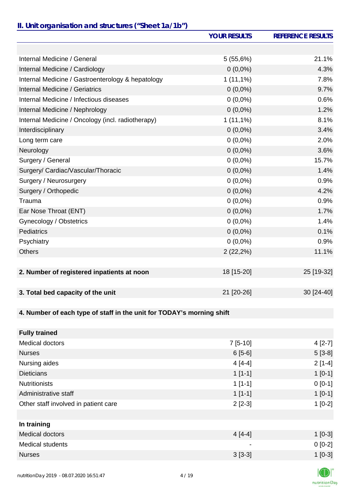# *II. Unit organisation and structures ("Sheet 1a/1b")*

|                                                                       | <b>YOUR RESULTS</b> | <b>REFERENCE RESULTS</b> |
|-----------------------------------------------------------------------|---------------------|--------------------------|
|                                                                       |                     |                          |
| Internal Medicine / General                                           | 5(55,6%)            | 21.1%                    |
| Internal Medicine / Cardiology                                        | $0(0,0\%)$          | 4.3%                     |
| Internal Medicine / Gastroenterology & hepatology                     | $1(11,1\%)$         | 7.8%                     |
| <b>Internal Medicine / Geriatrics</b>                                 | $0(0,0\%)$          | 9.7%                     |
| Internal Medicine / Infectious diseases                               | $0(0,0\%)$          | 0.6%                     |
| Internal Medicine / Nephrology                                        | $0(0,0\%)$          | 1.2%                     |
| Internal Medicine / Oncology (incl. radiotherapy)                     | $1(11,1\%)$         | 8.1%                     |
| Interdisciplinary                                                     | $0(0,0\%)$          | 3.4%                     |
| Long term care                                                        | $0(0,0\%)$          | 2.0%                     |
| Neurology                                                             | $0(0,0\%)$          | 3.6%                     |
| Surgery / General                                                     | $0(0,0\%)$          | 15.7%                    |
| Surgery/ Cardiac/Vascular/Thoracic                                    | $0(0,0\%)$          | 1.4%                     |
| Surgery / Neurosurgery                                                | $0(0,0\%)$          | 0.9%                     |
| Surgery / Orthopedic                                                  | $0(0,0\%)$          | 4.2%                     |
| Trauma                                                                | $0(0,0\%)$          | 0.9%                     |
| Ear Nose Throat (ENT)                                                 | $0(0,0\%)$          | 1.7%                     |
| Gynecology / Obstetrics                                               | $0(0,0\%)$          | 1.4%                     |
| <b>Pediatrics</b>                                                     | $0(0,0\%)$          | 0.1%                     |
| Psychiatry                                                            | $0(0,0\%)$          | 0.9%                     |
| <b>Others</b>                                                         | 2(22,2%)            | 11.1%                    |
|                                                                       |                     |                          |
| 2. Number of registered inpatients at noon                            | 18 [15-20]          | 25 [19-32]               |
|                                                                       |                     |                          |
| 3. Total bed capacity of the unit                                     | 21 [20-26]          | 30 [24-40]               |
|                                                                       |                     |                          |
| 4. Number of each type of staff in the unit for TODAY's morning shift |                     |                          |
|                                                                       |                     |                          |
| <b>Fully trained</b>                                                  |                     |                          |
| Medical doctors                                                       | 7 [5-10]            | $4[2-7]$                 |

| <b>Nurses</b>                        | $6[5-6]$                 | $5[3-8]$ |
|--------------------------------------|--------------------------|----------|
| Nursing aides                        | $4[4-4]$                 | $2[1-4]$ |
| <b>Dieticians</b>                    | $1[1-1]$                 | $1[0-1]$ |
| <b>Nutritionists</b>                 | $1[1-1]$                 | $0[0-1]$ |
| Administrative staff                 | $1[1-1]$                 | $1[0-1]$ |
| Other staff involved in patient care | $2[2-3]$                 | $1[0-2]$ |
|                                      |                          |          |
| In training                          |                          |          |
| <b>Medical doctors</b>               | $4[4-4]$                 | $1[0-3]$ |
| <b>Medical students</b>              | $\overline{\phantom{0}}$ | $0[0-2]$ |
| <b>Nurses</b>                        | $3[3-3]$                 | $1[0-3]$ |
|                                      |                          |          |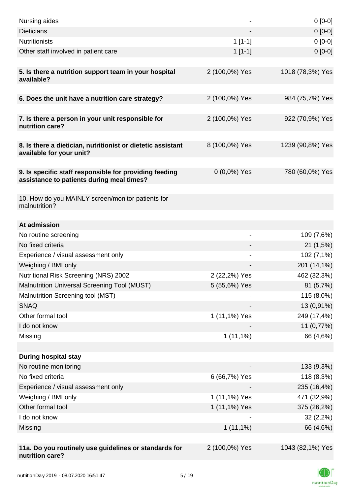| Nursing aides                                                                                       |                          | $0[0-0]$         |
|-----------------------------------------------------------------------------------------------------|--------------------------|------------------|
| <b>Dieticians</b>                                                                                   |                          | $0[0-0]$         |
| <b>Nutritionists</b>                                                                                | $1[1-1]$                 | $0[0-0]$         |
| Other staff involved in patient care                                                                | $1[1-1]$                 | $0[0-0]$         |
| 5. Is there a nutrition support team in your hospital<br>available?                                 | 2 (100,0%) Yes           | 1018 (78,3%) Yes |
| 6. Does the unit have a nutrition care strategy?                                                    | 2 (100,0%) Yes           | 984 (75,7%) Yes  |
| 7. Is there a person in your unit responsible for<br>nutrition care?                                | 2 (100,0%) Yes           | 922 (70,9%) Yes  |
| 8. Is there a dietician, nutritionist or dietetic assistant<br>available for your unit?             | 8 (100,0%) Yes           | 1239 (90,8%) Yes |
| 9. Is specific staff responsible for providing feeding<br>assistance to patients during meal times? | $0(0,0\%)$ Yes           | 780 (60,0%) Yes  |
| 10. How do you MAINLY screen/monitor patients for<br>malnutrition?                                  |                          |                  |
| At admission                                                                                        |                          |                  |
| No routine screening                                                                                | $\overline{\phantom{a}}$ | 109 (7,6%)       |
| No fixed criteria                                                                                   |                          | 21(1,5%)         |
| Experience / visual assessment only                                                                 |                          | 102 (7,1%)       |
| Weighing / BMI only                                                                                 |                          | 201 (14,1%)      |
| Nutritional Risk Screening (NRS) 2002                                                               | 2 (22,2%) Yes            | 462 (32,3%)      |
| Malnutrition Universal Screening Tool (MUST)                                                        | 5 (55,6%) Yes            | 81 (5,7%)        |
| Malnutrition Screening tool (MST)                                                                   |                          | 115 (8,0%)       |
| <b>SNAQ</b>                                                                                         |                          | 13 (0,91%)       |
| Other formal tool                                                                                   | 1 (11,1%) Yes            | 249 (17,4%)      |
| I do not know                                                                                       |                          | 11 (0,77%)       |
| Missing                                                                                             | $1(11,1\%)$              | 66 (4,6%)        |
|                                                                                                     |                          |                  |
| <b>During hospital stay</b>                                                                         |                          |                  |
| No routine monitoring                                                                               |                          | 133 (9,3%)       |
| No fixed criteria                                                                                   | 6 (66,7%) Yes            | 118 (8,3%)       |
| Experience / visual assessment only                                                                 |                          | 235 (16,4%)      |
| Weighing / BMI only                                                                                 | 1 (11,1%) Yes            | 471 (32,9%)      |
| Other formal tool                                                                                   | 1 (11,1%) Yes            | 375 (26,2%)      |
| I do not know                                                                                       |                          | 32(2,2%)         |
| Missing                                                                                             | $1(11,1\%)$              | 66 (4,6%)        |
|                                                                                                     |                          |                  |
| 11a. Do you routinely use guidelines or standards for<br>nutrition care?                            | 2 (100,0%) Yes           | 1043 (82,1%) Yes |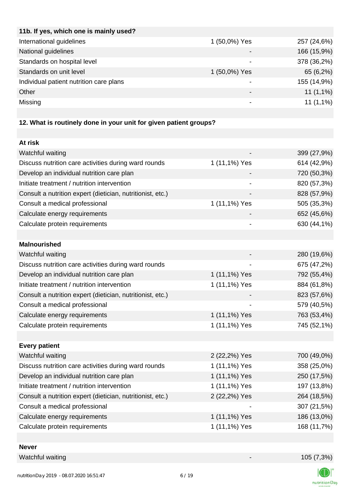| 11b. If yes, which one is mainly used?  |                          |             |
|-----------------------------------------|--------------------------|-------------|
| International guidelines                | 1 (50,0%) Yes            | 257 (24,6%) |
| National guidelines                     |                          | 166 (15,9%) |
| Standards on hospital level             |                          | 378 (36,2%) |
| Standards on unit level                 | 1 (50,0%) Yes            | 65 (6,2%)   |
| Individual patient nutrition care plans |                          | 155 (14,9%) |
| Other                                   | $\overline{\phantom{0}}$ | $11(1,1\%)$ |
| Missing                                 |                          | $11(1,1\%)$ |
|                                         |                          |             |

## **12. What is routinely done in your unit for given patient groups?**

| At risk                                                    |               |             |
|------------------------------------------------------------|---------------|-------------|
| Watchful waiting                                           |               | 399 (27,9%) |
| Discuss nutrition care activities during ward rounds       | 1 (11,1%) Yes | 614 (42,9%) |
| Develop an individual nutrition care plan                  |               | 720 (50,3%) |
| Initiate treatment / nutrition intervention                |               | 820 (57,3%) |
| Consult a nutrition expert (dietician, nutritionist, etc.) |               | 828 (57,9%) |
| Consult a medical professional                             | 1 (11,1%) Yes | 505 (35,3%) |
| Calculate energy requirements                              |               | 652 (45,6%) |
| Calculate protein requirements                             |               | 630 (44,1%) |
|                                                            |               |             |
| <b>Malnourished</b>                                        |               |             |
| Watchful waiting                                           |               | 280 (19,6%) |
| Discuss nutrition care activities during ward rounds       |               | 675 (47,2%) |
| Develop an individual nutrition care plan                  | 1 (11,1%) Yes | 792 (55,4%) |
| Initiate treatment / nutrition intervention                | 1 (11,1%) Yes | 884 (61,8%) |
| Consult a nutrition expert (dietician, nutritionist, etc.) |               | 823 (57,6%) |
| Consult a medical professional                             |               | 579 (40,5%) |
| Calculate energy requirements                              | 1 (11,1%) Yes | 763 (53,4%) |
| Calculate protein requirements                             | 1 (11,1%) Yes | 745 (52,1%) |
|                                                            |               |             |
| <b>Every patient</b>                                       |               |             |
| Watchful waiting                                           | 2 (22,2%) Yes | 700 (49,0%) |
| Discuss nutrition care activities during ward rounds       | 1 (11,1%) Yes | 358 (25,0%) |
| Develop an individual nutrition care plan                  | 1 (11,1%) Yes | 250 (17,5%) |
| Initiate treatment / nutrition intervention                | 1 (11,1%) Yes | 197 (13,8%) |
| Consult a nutrition expert (dietician, nutritionist, etc.) | 2 (22,2%) Yes | 264 (18,5%) |
| Consult a medical professional                             |               | 307 (21,5%) |
| Calculate energy requirements                              | 1 (11,1%) Yes | 186 (13,0%) |
| Calculate protein requirements                             | 1 (11,1%) Yes | 168 (11,7%) |
|                                                            |               |             |

### **Never**

Watchful waiting 105 (7,3%)

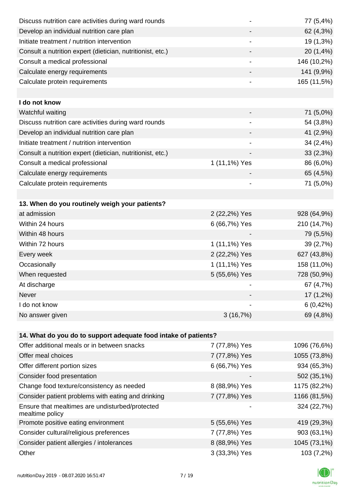| Discuss nutrition care activities during ward rounds               |               | 77 (5,4%)    |
|--------------------------------------------------------------------|---------------|--------------|
| Develop an individual nutrition care plan                          |               | 62 (4,3%)    |
| Initiate treatment / nutrition intervention                        |               | 19 (1,3%)    |
| Consult a nutrition expert (dietician, nutritionist, etc.)         |               | 20 (1,4%)    |
| Consult a medical professional                                     | -             | 146 (10,2%)  |
| Calculate energy requirements                                      |               | 141 (9,9%)   |
| Calculate protein requirements                                     | -             | 165 (11,5%)  |
|                                                                    |               |              |
| I do not know                                                      |               |              |
| Watchful waiting                                                   |               | 71 (5,0%)    |
| Discuss nutrition care activities during ward rounds               |               | 54 (3,8%)    |
| Develop an individual nutrition care plan                          |               | 41 (2,9%)    |
| Initiate treatment / nutrition intervention                        |               | 34 (2,4%)    |
| Consult a nutrition expert (dietician, nutritionist, etc.)         |               | 33(2,3%)     |
| Consult a medical professional                                     | 1 (11,1%) Yes | 86 (6,0%)    |
| Calculate energy requirements                                      |               | 65 (4,5%)    |
| Calculate protein requirements                                     |               | 71 (5,0%)    |
|                                                                    |               |              |
| 13. When do you routinely weigh your patients?                     |               |              |
| at admission                                                       | 2 (22,2%) Yes | 928 (64,9%)  |
| Within 24 hours                                                    | 6 (66,7%) Yes | 210 (14,7%)  |
| Within 48 hours                                                    |               | 79 (5,5%)    |
| Within 72 hours                                                    | 1 (11,1%) Yes | 39 (2,7%)    |
| Every week                                                         | 2 (22,2%) Yes | 627 (43,8%)  |
| Occasionally                                                       | 1 (11,1%) Yes | 158 (11,0%)  |
| When requested                                                     | 5 (55,6%) Yes | 728 (50,9%)  |
| At discharge                                                       |               | 67 (4,7%)    |
| Never                                                              |               | 17 (1,2%)    |
| I do not know                                                      |               | 6(0,42%)     |
| No answer given                                                    | 3(16,7%)      | 69 (4,8%)    |
|                                                                    |               |              |
| 14. What do you do to support adequate food intake of patients?    |               |              |
| Offer additional meals or in between snacks                        | 7 (77,8%) Yes | 1096 (76,6%) |
| Offer meal choices                                                 | 7 (77,8%) Yes | 1055 (73,8%) |
| Offer different portion sizes                                      | 6 (66,7%) Yes | 934 (65,3%)  |
| Consider food presentation                                         |               | 502 (35,1%)  |
| Change food texture/consistency as needed                          | 8 (88,9%) Yes | 1175 (82,2%) |
| Consider patient problems with eating and drinking                 | 7 (77,8%) Yes | 1166 (81,5%) |
| Ensure that mealtimes are undisturbed/protected<br>mealtime policy |               | 324 (22,7%)  |
| Promote positive eating environment                                | 5 (55,6%) Yes | 419 (29,3%)  |
| Consider cultural/religious preferences                            | 7 (77,8%) Yes | 903 (63,1%)  |
| Consider patient allergies / intolerances                          | 8 (88,9%) Yes | 1045 (73,1%) |
| Other                                                              | 3 (33,3%) Yes | 103 (7,2%)   |

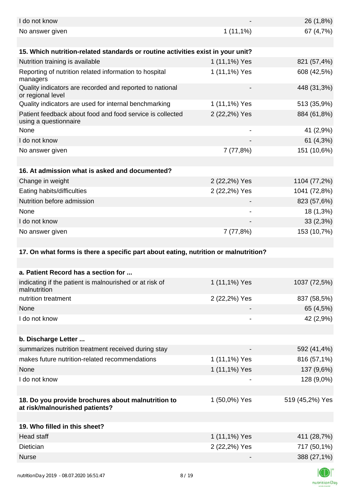| I do not know                                                                        |               | 26 (1,8%)                                                                   |
|--------------------------------------------------------------------------------------|---------------|-----------------------------------------------------------------------------|
| No answer given                                                                      | $1(11,1\%)$   | 67 (4,7%)                                                                   |
|                                                                                      |               |                                                                             |
| 15. Which nutrition-related standards or routine activities exist in your unit?      |               |                                                                             |
| Nutrition training is available                                                      | 1 (11,1%) Yes | 821 (57,4%)                                                                 |
| Reporting of nutrition related information to hospital<br>managers                   | 1 (11,1%) Yes | 608 (42,5%)                                                                 |
| Quality indicators are recorded and reported to national<br>or regional level        |               | 448 (31,3%)                                                                 |
| Quality indicators are used for internal benchmarking                                | 1 (11,1%) Yes | 513 (35,9%)                                                                 |
| Patient feedback about food and food service is collected<br>using a questionnaire   | 2 (22,2%) Yes | 884 (61,8%)                                                                 |
| None                                                                                 |               | 41 (2,9%)                                                                   |
| I do not know                                                                        |               | 61 (4,3%)                                                                   |
| No answer given                                                                      | 7(77,8%)      | 151 (10,6%)                                                                 |
|                                                                                      |               |                                                                             |
| 16. At admission what is asked and documented?                                       |               |                                                                             |
| Change in weight                                                                     | 2 (22,2%) Yes | 1104 (77,2%)                                                                |
| Eating habits/difficulties                                                           | 2 (22,2%) Yes | 1041 (72,8%)                                                                |
| Nutrition before admission                                                           |               | 823 (57,6%)                                                                 |
| None                                                                                 |               | 18 (1,3%)                                                                   |
| I do not know                                                                        |               | 33(2,3%)                                                                    |
| No answer given                                                                      | 7(77,8%)      | 153 (10,7%)                                                                 |
|                                                                                      |               |                                                                             |
| 17. On what forms is there a specific part about eating, nutrition or malnutrition?  |               |                                                                             |
|                                                                                      |               |                                                                             |
| a. Patient Record has a section for                                                  |               |                                                                             |
| indicating if the patient is malnourished or at risk of<br>malnutrition              | 1 (11,1%) Yes | 1037 (72,5%)                                                                |
| nutrition treatment                                                                  | 2 (22,2%) Yes | 837 (58,5%)                                                                 |
| None                                                                                 |               | 65 (4,5%)                                                                   |
| I do not know                                                                        |               | 42 (2,9%)                                                                   |
|                                                                                      |               |                                                                             |
| b. Discharge Letter                                                                  |               |                                                                             |
|                                                                                      |               |                                                                             |
| summarizes nutrition treatment received during stay                                  |               |                                                                             |
| makes future nutrition-related recommendations                                       | 1 (11,1%) Yes | 816 (57,1%)                                                                 |
| None                                                                                 | 1 (11,1%) Yes | 137 (9,6%)                                                                  |
| I do not know                                                                        |               | 128 (9,0%)                                                                  |
|                                                                                      |               |                                                                             |
| 18. Do you provide brochures about malnutrition to<br>at risk/malnourished patients? | 1 (50,0%) Yes |                                                                             |
|                                                                                      |               |                                                                             |
| 19. Who filled in this sheet?                                                        |               |                                                                             |
| <b>Head staff</b>                                                                    | 1 (11,1%) Yes |                                                                             |
| <b>Dietician</b>                                                                     | 2 (22,2%) Yes |                                                                             |
| <b>Nurse</b>                                                                         |               | 592 (41,4%)<br>519 (45,2%) Yes<br>411 (28,7%)<br>717 (50,1%)<br>388 (27,1%) |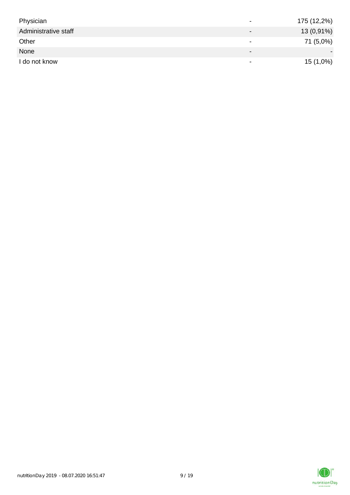| Physician            | $\overline{\phantom{a}}$     | 175 (12,2%) |
|----------------------|------------------------------|-------------|
| Administrative staff | $\qquad \qquad \blacksquare$ | 13 (0,91%)  |
| Other                | $\,$                         | 71 (5,0%)   |
| None                 | $\overline{\phantom{0}}$     |             |
| I do not know        | $\,$                         | 15 (1,0%)   |

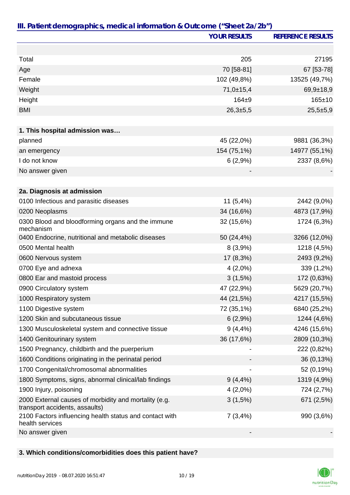|                                                                                         | <b>YOUR RESULTS</b> | <b>REFERENCE RESULTS</b> |
|-----------------------------------------------------------------------------------------|---------------------|--------------------------|
|                                                                                         |                     |                          |
| Total                                                                                   | 205                 | 27195                    |
| Age                                                                                     | 70 [58-81]          | 67 [53-78]               |
| Female                                                                                  | 102 (49,8%)         | 13525 (49,7%)            |
| Weight                                                                                  | 71,0±15,4           | $69,9+18,9$              |
| Height                                                                                  | $164 + 9$           | $165 \pm 10$             |
| <b>BMI</b>                                                                              | 26,3±5,5            | $25,5+5,9$               |
|                                                                                         |                     |                          |
| 1. This hospital admission was                                                          |                     |                          |
| planned                                                                                 | 45 (22,0%)          | 9881 (36,3%)             |
| an emergency                                                                            | 154 (75,1%)         | 14977 (55,1%)            |
| I do not know                                                                           | 6(2,9%)             | 2337 (8,6%)              |
| No answer given                                                                         |                     |                          |
|                                                                                         |                     |                          |
| 2a. Diagnosis at admission                                                              |                     |                          |
| 0100 Infectious and parasitic diseases                                                  | $11(5,4\%)$         | 2442 (9,0%)              |
| 0200 Neoplasms                                                                          | 34 (16,6%)          | 4873 (17,9%)             |
| 0300 Blood and bloodforming organs and the immune<br>mechanism                          | 32 (15,6%)          | 1724 (6,3%)              |
| 0400 Endocrine, nutritional and metabolic diseases                                      | 50 (24,4%)          | 3266 (12,0%)             |
| 0500 Mental health                                                                      | 8(3,9%)             | 1218 (4,5%)              |
| 0600 Nervous system                                                                     | 17 (8,3%)           | 2493 (9,2%)              |
| 0700 Eye and adnexa                                                                     | $4(2,0\%)$          | 339 (1,2%)               |
| 0800 Ear and mastoid process                                                            | 3(1,5%)             | 172 (0,63%)              |
| 0900 Circulatory system                                                                 | 47 (22,9%)          | 5629 (20,7%)             |
| 1000 Respiratory system                                                                 | 44 (21,5%)          | 4217 (15,5%)             |
| 1100 Digestive system                                                                   | 72 (35,1%)          | 6840 (25,2%)             |
| 1200 Skin and subcutaneous tissue                                                       | 6(2,9%)             | 1244 (4,6%)              |
| 1300 Musculoskeletal system and connective tissue                                       | $9(4, 4\%)$         | 4246 (15,6%)             |
| 1400 Genitourinary system                                                               | 36 (17,6%)          | 2809 (10,3%)             |
| 1500 Pregnancy, childbirth and the puerperium                                           |                     | 222 (0,82%)              |
| 1600 Conditions originating in the perinatal period                                     |                     | 36 (0,13%)               |
| 1700 Congenital/chromosomal abnormalities                                               |                     | 52 (0,19%)               |
| 1800 Symptoms, signs, abnormal clinical/lab findings                                    | $9(4, 4\%)$         | 1319 (4,9%)              |
| 1900 Injury, poisoning                                                                  | $4(2,0\%)$          | 724 (2,7%)               |
| 2000 External causes of morbidity and mortality (e.g.<br>transport accidents, assaults) | $3(1,5\%)$          | 671 (2,5%)               |
| 2100 Factors influencing health status and contact with<br>health services              | 7(3,4%)             | 990 (3,6%)               |
| No answer given                                                                         |                     |                          |

## **3. Which conditions/comorbidities does this patient have?**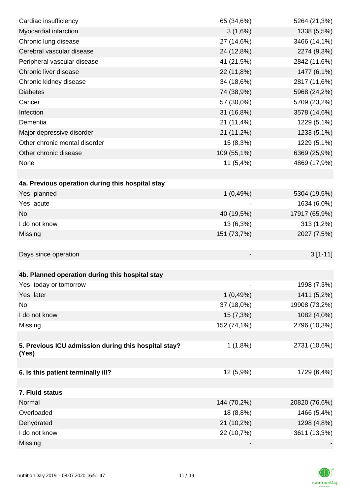| Cardiac insufficiency                                | 65 (34,6%)  | 5264 (21,3%)  |
|------------------------------------------------------|-------------|---------------|
| Myocardial infarction                                | 3(1,6%)     | 1338 (5,5%)   |
| Chronic lung disease                                 | 27 (14,6%)  | 3466 (14,1%)  |
| Cerebral vascular disease                            | 24 (12,8%)  | 2274 (9,3%)   |
| Peripheral vascular disease                          | 41 (21,5%)  | 2842 (11,6%)  |
| Chronic liver disease                                | 22 (11,8%)  | 1477 (6,1%)   |
| Chronic kidney disease                               | 34 (18,6%)  | 2817 (11,6%)  |
| <b>Diabetes</b>                                      | 74 (38,9%)  | 5968 (24,2%)  |
| Cancer                                               | 57 (30,0%)  | 5709 (23,2%)  |
| Infection                                            | 31 (16,8%)  | 3578 (14,6%)  |
| Dementia                                             | 21 (11,4%)  | 1229 (5,1%)   |
| Major depressive disorder                            | 21 (11,2%)  | 1233 (5,1%)   |
| Other chronic mental disorder                        | 15 (8,3%)   | 1229 (5,1%)   |
| Other chronic disease                                | 109 (55,1%) | 6369 (25,9%)  |
| None                                                 | 11(5,4%)    | 4869 (17,9%)  |
|                                                      |             |               |
| 4a. Previous operation during this hospital stay     |             |               |
| Yes, planned                                         | 1(0,49%)    | 5304 (19,5%)  |
| Yes, acute                                           |             | 1634 (6,0%)   |
| <b>No</b>                                            | 40 (19,5%)  | 17917 (65,9%) |
| I do not know                                        | 13 (6,3%)   | 313 (1,2%)    |
| Missing                                              | 151 (73,7%) | 2027 (7,5%)   |
|                                                      |             |               |
| Days since operation                                 |             | $3[1-11]$     |
|                                                      |             |               |
| 4b. Planned operation during this hospital stay      |             |               |
| Yes, today or tomorrow                               |             | 1998 (7,3%)   |
| Yes, later                                           | 1(0,49%)    | 1411 (5,2%)   |
| No                                                   | 37 (18,0%)  | 19908 (73,2%) |
| I do not know                                        | 15 (7,3%)   | 1082 (4,0%)   |
| Missing                                              | 152 (74,1%) | 2796 (10,3%)  |
|                                                      |             |               |
| 5. Previous ICU admission during this hospital stay? | $1(1,8\%)$  | 2731 (10,6%)  |
| (Yes)                                                |             |               |
| 6. Is this patient terminally ill?                   | 12 (5,9%)   | 1729 (6,4%)   |
|                                                      |             |               |
| 7. Fluid status                                      |             |               |
| Normal                                               | 144 (70,2%) | 20820 (76,6%) |
| Overloaded                                           | 18 (8,8%)   | 1466 (5,4%)   |
| Dehydrated                                           | 21 (10,2%)  | 1298 (4,8%)   |
| I do not know                                        | 22 (10,7%)  | 3611 (13,3%)  |
| Missing                                              |             |               |

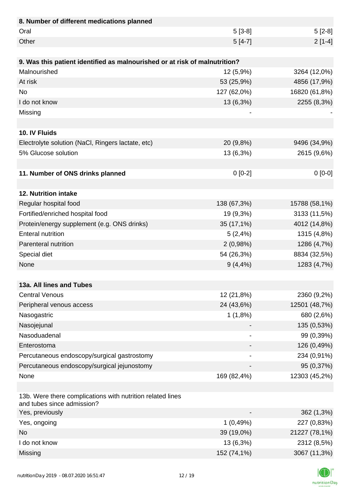| 8. Number of different medications planned                                               |             |               |
|------------------------------------------------------------------------------------------|-------------|---------------|
| Oral                                                                                     | $5[3-8]$    | $5[2-8]$      |
| Other                                                                                    | $5[4-7]$    | $2[1-4]$      |
|                                                                                          |             |               |
| 9. Was this patient identified as malnourished or at risk of malnutrition?               |             |               |
| Malnourished                                                                             | 12 (5,9%)   | 3264 (12,0%)  |
| At risk                                                                                  | 53 (25,9%)  | 4856 (17,9%)  |
| <b>No</b>                                                                                | 127 (62,0%) | 16820 (61,8%) |
| I do not know                                                                            | 13 (6,3%)   | 2255 (8,3%)   |
| Missing                                                                                  |             |               |
|                                                                                          |             |               |
| 10. IV Fluids                                                                            |             |               |
| Electrolyte solution (NaCl, Ringers lactate, etc)                                        | 20 (9,8%)   | 9496 (34,9%)  |
| 5% Glucose solution                                                                      | 13 (6,3%)   | 2615 (9,6%)   |
|                                                                                          |             |               |
| 11. Number of ONS drinks planned                                                         | $0 [0-2]$   | $0[0-0]$      |
|                                                                                          |             |               |
| 12. Nutrition intake                                                                     |             |               |
| Regular hospital food                                                                    | 138 (67,3%) | 15788 (58,1%) |
| Fortified/enriched hospital food                                                         | 19 (9,3%)   | 3133 (11,5%)  |
| Protein/energy supplement (e.g. ONS drinks)                                              | 35 (17,1%)  | 4012 (14,8%)  |
| <b>Enteral nutrition</b>                                                                 | 5(2,4%)     | 1315 (4,8%)   |
| Parenteral nutrition                                                                     | 2(0,98%)    | 1286 (4,7%)   |
| Special diet                                                                             | 54 (26,3%)  | 8834 (32,5%)  |
| None                                                                                     | $9(4, 4\%)$ | 1283 (4,7%)   |
|                                                                                          |             |               |
| 13a. All lines and Tubes                                                                 |             |               |
| <b>Central Venous</b>                                                                    | 12 (21,8%)  | 2360 (9,2%)   |
| Peripheral venous access                                                                 | 24 (43,6%)  | 12501 (48,7%) |
| Nasogastric                                                                              | 1(1,8%)     | 680 (2,6%)    |
| Nasojejunal                                                                              |             | 135 (0,53%)   |
| Nasoduadenal                                                                             |             | 99 (0,39%)    |
| Enterostoma                                                                              |             | 126 (0,49%)   |
| Percutaneous endoscopy/surgical gastrostomy                                              |             | 234 (0,91%)   |
| Percutaneous endoscopy/surgical jejunostomy                                              |             | 95 (0,37%)    |
| None                                                                                     | 169 (82,4%) | 12303 (45,2%) |
|                                                                                          |             |               |
| 13b. Were there complications with nutrition related lines<br>and tubes since admission? |             |               |
| Yes, previously                                                                          |             | 362 (1,3%)    |
| Yes, ongoing                                                                             | 1(0,49%)    | 227 (0,83%)   |
| <b>No</b>                                                                                | 39 (19,0%)  | 21227 (78,1%) |
| I do not know                                                                            | 13 (6,3%)   | 2312 (8,5%)   |
| Missing                                                                                  | 152 (74,1%) | 3067 (11,3%)  |

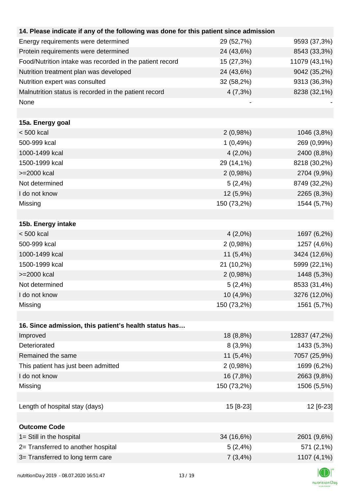| 14. Please indicate if any of the following was done for this patient since admission |             |               |
|---------------------------------------------------------------------------------------|-------------|---------------|
| Energy requirements were determined                                                   | 29 (52,7%)  | 9593 (37,3%)  |
| Protein requirements were determined                                                  | 24 (43,6%)  | 8543 (33,3%)  |
| Food/Nutrition intake was recorded in the patient record                              | 15 (27,3%)  | 11079 (43,1%) |
| Nutrition treatment plan was developed                                                | 24 (43,6%)  | 9042 (35,2%)  |
| Nutrition expert was consulted                                                        | 32 (58,2%)  | 9313 (36,3%)  |
| Malnutrition status is recorded in the patient record                                 | 4(7,3%)     | 8238 (32,1%)  |
| None                                                                                  |             |               |
|                                                                                       |             |               |
| 15a. Energy goal                                                                      |             |               |
| $< 500$ kcal                                                                          | 2(0,98%)    | 1046 (3,8%)   |
| 500-999 kcal                                                                          | 1(0,49%)    | 269 (0,99%)   |
| 1000-1499 kcal                                                                        | $4(2,0\%)$  | 2400 (8,8%)   |
| 1500-1999 kcal                                                                        | 29 (14,1%)  | 8218 (30,2%)  |
| >=2000 kcal                                                                           | 2(0,98%)    | 2704 (9,9%)   |
| Not determined                                                                        | 5(2,4%)     | 8749 (32,2%)  |
| I do not know                                                                         | 12 (5,9%)   | 2265 (8,3%)   |
| Missing                                                                               | 150 (73,2%) | 1544 (5,7%)   |
|                                                                                       |             |               |
| 15b. Energy intake                                                                    |             |               |
| $< 500$ kcal                                                                          | $4(2,0\%)$  | 1697 (6,2%)   |
| 500-999 kcal                                                                          | 2(0,98%)    | 1257 (4,6%)   |
| 1000-1499 kcal                                                                        | $11(5,4\%)$ | 3424 (12,6%)  |
| 1500-1999 kcal                                                                        | 21 (10,2%)  | 5999 (22,1%)  |
| >=2000 kcal                                                                           | 2(0,98%)    | 1448 (5,3%)   |
| Not determined                                                                        | 5(2,4%)     | 8533 (31,4%)  |
| I do not know                                                                         | 10 (4,9%)   | 3276 (12,0%)  |
| Missing                                                                               | 150 (73,2%) | 1561 (5,7%)   |
|                                                                                       |             |               |
| 16. Since admission, this patient's health status has                                 |             |               |
| Improved                                                                              | 18 (8,8%)   | 12837 (47,2%) |
| Deteriorated                                                                          | 8(3,9%)     | 1433 (5,3%)   |
| Remained the same                                                                     | 11 $(5,4%)$ | 7057 (25,9%)  |
| This patient has just been admitted                                                   | 2(0,98%)    | 1699 (6,2%)   |
| I do not know                                                                         | 16 (7,8%)   | 2663 (9,8%)   |
| Missing                                                                               | 150 (73,2%) | 1506 (5,5%)   |
|                                                                                       |             |               |
| Length of hospital stay (days)                                                        | 15 [8-23]   | 12 [6-23]     |
|                                                                                       |             |               |
| <b>Outcome Code</b>                                                                   |             |               |
| 1= Still in the hospital                                                              | 34 (16,6%)  | 2601 (9,6%)   |
| 2= Transferred to another hospital                                                    | 5(2,4%)     | 571 (2,1%)    |
| 3= Transferred to long term care                                                      | 7(3,4%)     | 1107 (4,1%)   |
| 0.0720011157117<br>$H = 11.25$                                                        | 12/10       |               |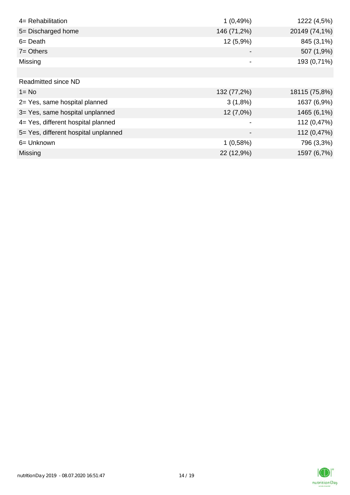| 4= Rehabilitation                    | 1(0,49%)    | 1222 (4,5%)   |
|--------------------------------------|-------------|---------------|
| 5= Discharged home                   | 146 (71,2%) | 20149 (74,1%) |
| $6 = Death$                          | 12 (5,9%)   | 845 (3,1%)    |
| $7 =$ Others                         |             | 507 (1,9%)    |
| Missing                              |             | 193 (0,71%)   |
|                                      |             |               |
| <b>Readmitted since ND</b>           |             |               |
| $1 = No$                             | 132 (77,2%) | 18115 (75,8%) |
| 2= Yes, same hospital planned        | $3(1,8\%)$  | 1637 (6,9%)   |
| 3= Yes, same hospital unplanned      | 12 (7,0%)   | 1465 (6,1%)   |
| 4= Yes, different hospital planned   |             | 112 (0,47%)   |
| 5= Yes, different hospital unplanned |             | 112 (0,47%)   |
| 6= Unknown                           | 1(0,58%)    | 796 (3,3%)    |
| <b>Missing</b>                       | 22 (12,9%)  | 1597 (6,7%)   |

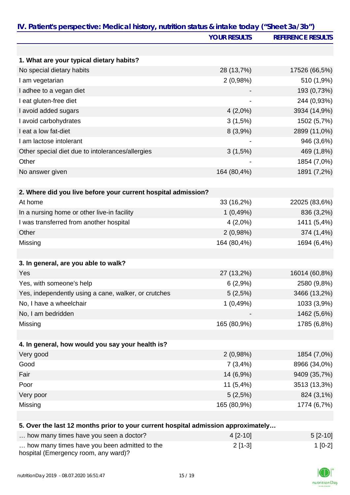|                                                                                   | <b>YOUR RESULTS</b> | <b>REFERENCE RESULTS</b> |
|-----------------------------------------------------------------------------------|---------------------|--------------------------|
|                                                                                   |                     |                          |
| 1. What are your typical dietary habits?                                          |                     |                          |
| No special dietary habits                                                         | 28 (13,7%)          | 17526 (66,5%)            |
| I am vegetarian                                                                   | 2(0,98%)            | 510 (1,9%)               |
| I adhee to a vegan diet                                                           |                     | 193 (0,73%)              |
| I eat gluten-free diet                                                            |                     | 244 (0,93%)              |
| I avoid added sugars                                                              | $4(2,0\%)$          | 3934 (14,9%)             |
| I avoid carbohydrates                                                             | 3(1,5%)             | 1502 (5,7%)              |
| I eat a low fat-diet                                                              | 8(3,9%)             | 2899 (11,0%)             |
| I am lactose intolerant                                                           |                     | 946 (3,6%)               |
| Other special diet due to intolerances/allergies                                  | 3(1,5%)             | 469 (1,8%)               |
| Other                                                                             |                     | 1854 (7,0%)              |
| No answer given                                                                   | 164 (80,4%)         | 1891 (7,2%)              |
| 2. Where did you live before your current hospital admission?                     |                     |                          |
| At home                                                                           | 33 (16,2%)          | 22025 (83,6%)            |
| In a nursing home or other live-in facility                                       | 1(0,49%)            | 836 (3,2%)               |
| I was transferred from another hospital                                           | $4(2,0\%)$          | 1411 (5,4%)              |
| Other                                                                             | 2(0,98%)            | 374 (1,4%)               |
| Missing                                                                           | 164 (80,4%)         | 1694 (6,4%)              |
|                                                                                   |                     |                          |
| 3. In general, are you able to walk?                                              |                     |                          |
| Yes                                                                               | 27 (13,2%)          | 16014 (60,8%)            |
| Yes, with someone's help                                                          | 6(2,9%)             | 2580 (9,8%)              |
| Yes, independently using a cane, walker, or crutches                              | 5(2,5%)             | 3466 (13,2%)             |
| No, I have a wheelchair                                                           | 1(0,49%)            | 1033 (3,9%)              |
| No, I am bedridden                                                                |                     | 1462 (5,6%)              |
| Missing                                                                           | 165 (80,9%)         | 1785 (6,8%)              |
|                                                                                   |                     |                          |
| 4. In general, how would you say your health is?                                  |                     |                          |
| Very good                                                                         | 2(0,98%)            | 1854 (7,0%)              |
| Good                                                                              | 7(3,4%)             | 8966 (34,0%)             |
| Fair                                                                              | 14 (6,9%)           | 9409 (35,7%)             |
| Poor                                                                              | $11(5,4\%)$         | 3513 (13,3%)             |
| Very poor                                                                         | 5(2,5%)             | 824 (3,1%)               |
| Missing                                                                           | 165 (80,9%)         | 1774 (6,7%)              |
|                                                                                   |                     |                          |
| 5. Over the last 12 months prior to your current hospital admission approximately |                     |                          |
| how many times have you seen a doctor?                                            | 4 [2-10]            | $5[2-10]$                |

| TOW THATLY WITCS HAVE YOU SEEN A GOCTON!                                             | $412 - 101$ | $UZ$ -171 |
|--------------------------------------------------------------------------------------|-------------|-----------|
| how many times have you been admitted to the<br>hospital (Emergency room, any ward)? | $2$ [1-3]   | $1$ [0-2] |

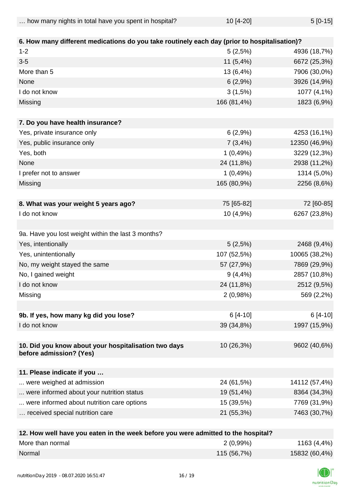| how many nights in total have you spent in hospital? | 10 [4-20] | $5[0-15]$ |
|------------------------------------------------------|-----------|-----------|
|------------------------------------------------------|-----------|-----------|

| 6. How many different medications do you take routinely each day (prior to hospitalisation)? |             |               |
|----------------------------------------------------------------------------------------------|-------------|---------------|
| $1 - 2$                                                                                      | 5(2,5%)     | 4936 (18,7%)  |
| $3-5$                                                                                        | $11(5,4\%)$ | 6672 (25,3%)  |
| More than 5                                                                                  | 13 (6,4%)   | 7906 (30,0%)  |
| None                                                                                         | 6(2,9%)     | 3926 (14,9%)  |
| I do not know                                                                                | 3(1,5%)     | 1077 (4,1%)   |
| Missing                                                                                      | 166 (81,4%) | 1823 (6,9%)   |
| 7. Do you have health insurance?                                                             |             |               |
| Yes, private insurance only                                                                  | 6(2,9%)     | 4253 (16,1%)  |
| Yes, public insurance only                                                                   | 7(3,4%)     | 12350 (46,9%) |
| Yes, both                                                                                    | 1(0,49%)    | 3229 (12,3%)  |
| None                                                                                         | 24 (11,8%)  | 2938 (11,2%)  |
| I prefer not to answer                                                                       | 1(0,49%)    | 1314 (5,0%)   |
| Missing                                                                                      | 165 (80,9%) | 2256 (8,6%)   |
|                                                                                              |             |               |
| 8. What was your weight 5 years ago?                                                         | 75 [65-82]  | 72 [60-85]    |
| I do not know                                                                                | 10 (4,9%)   | 6267 (23,8%)  |
|                                                                                              |             |               |
| 9a. Have you lost weight within the last 3 months?                                           |             |               |
| Yes, intentionally                                                                           | 5(2,5%)     | 2468 (9,4%)   |
| Yes, unintentionally                                                                         | 107 (52,5%) | 10065 (38,2%) |
| No, my weight stayed the same                                                                | 57 (27,9%)  | 7869 (29,9%)  |
| No, I gained weight                                                                          | $9(4, 4\%)$ | 2857 (10,8%)  |
| I do not know                                                                                | 24 (11,8%)  | 2512 (9,5%)   |
| Missing                                                                                      | 2(0,98%)    | 569 (2,2%)    |
| 9b. If yes, how many kg did you lose?                                                        | $6[4-10]$   | $6[4-10]$     |
| I do not know                                                                                | 39 (34,8%)  | 1997 (15,9%)  |
|                                                                                              |             |               |
| 10. Did you know about your hospitalisation two days<br>before admission? (Yes)              | 10 (26,3%)  | 9602 (40,6%)  |
|                                                                                              |             |               |
| 11. Please indicate if you                                                                   |             |               |
| were weighed at admission                                                                    | 24 (61,5%)  | 14112 (57,4%) |
| were informed about your nutrition status                                                    | 19 (51,4%)  | 8364 (34,3%)  |
| were informed about nutrition care options                                                   | 15 (39,5%)  | 7769 (31,9%)  |
| received special nutrition care                                                              | 21 (55,3%)  | 7463 (30,7%)  |
|                                                                                              |             |               |
| 12 How well have you eaten in the week before you were admitted to the hospital?             |             |               |

| <b>12. How well have you eaten in the week before you were admitted to the hospital?</b> |             |               |
|------------------------------------------------------------------------------------------|-------------|---------------|
| More than normal                                                                         | $2(0,99\%)$ | 1163 (4,4%)   |
| Normal                                                                                   | 115 (56,7%) | 15832 (60,4%) |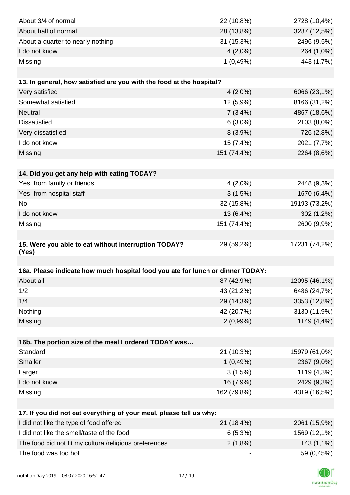| About 3/4 of normal                                                                         | 22 (10,8%)               | 2728 (10,4%)                  |
|---------------------------------------------------------------------------------------------|--------------------------|-------------------------------|
| About half of normal                                                                        | 28 (13,8%)               | 3287 (12,5%)                  |
| About a quarter to nearly nothing                                                           | 31 (15,3%)               | 2496 (9,5%)                   |
| I do not know                                                                               | $4(2,0\%)$               | 264 (1,0%)                    |
| Missing                                                                                     | 1(0,49%)                 | 443 (1,7%)                    |
|                                                                                             |                          |                               |
| 13. In general, how satisfied are you with the food at the hospital?                        |                          |                               |
| Very satisfied                                                                              | $4(2,0\%)$               | 6066 (23,1%)                  |
| Somewhat satisfied                                                                          | 12 (5,9%)                | 8166 (31,2%)                  |
| <b>Neutral</b>                                                                              | 7(3,4%)                  | 4867 (18,6%)                  |
| <b>Dissatisfied</b>                                                                         | $6(3,0\%)$               | 2103 (8,0%)                   |
| Very dissatisfied                                                                           | 8(3,9%)                  | 726 (2,8%)                    |
| I do not know                                                                               | 15 (7,4%)                | 2021 (7,7%)                   |
| Missing                                                                                     | 151 (74,4%)              | 2264 (8,6%)                   |
|                                                                                             |                          |                               |
| 14. Did you get any help with eating TODAY?                                                 |                          |                               |
| Yes, from family or friends                                                                 | $4(2,0\%)$               | 2448 (9,3%)                   |
| Yes, from hospital staff                                                                    | 3(1,5%)                  | 1670 (6,4%)                   |
| No                                                                                          | 32 (15,8%)               | 19193 (73,2%)                 |
| I do not know                                                                               | 13 (6,4%)                | $302(1,2\%)$                  |
| Missing                                                                                     | 151 (74,4%)              | 2600 (9,9%)                   |
|                                                                                             |                          |                               |
| 15. Were you able to eat without interruption TODAY?                                        | 29 (59,2%)               | 17231 (74,2%)                 |
| (Yes)                                                                                       |                          |                               |
|                                                                                             |                          |                               |
| 16a. Please indicate how much hospital food you ate for lunch or dinner TODAY:<br>About all |                          |                               |
| 1/2                                                                                         | 87 (42,9%)               | 12095 (46,1%)<br>6486 (24,7%) |
| 1/4                                                                                         | 43 (21,2%)               |                               |
| Nothing                                                                                     | 29 (14,3%)<br>42 (20,7%) | 3353 (12,8%)                  |
|                                                                                             | $2(0,99\%)$              | 3130 (11,9%)<br>1149 (4,4%)   |
| Missing                                                                                     |                          |                               |
| 16b. The portion size of the meal I ordered TODAY was                                       |                          |                               |
| Standard                                                                                    | 21 (10,3%)               | 15979 (61,0%)                 |
| Smaller                                                                                     | 1(0,49%)                 | 2367 (9,0%)                   |
| Larger                                                                                      | 3(1,5%)                  | 1119 (4,3%)                   |
| I do not know                                                                               | 16 (7,9%)                | 2429 (9,3%)                   |
| Missing                                                                                     | 162 (79,8%)              | 4319 (16,5%)                  |
|                                                                                             |                          |                               |
| 17. If you did not eat everything of your meal, please tell us why:                         |                          |                               |
| I did not like the type of food offered                                                     | 21 (18,4%)               | 2061 (15,9%)                  |
| I did not like the smell/taste of the food                                                  | $6(5,3\%)$               | 1569 (12,1%)                  |
| The food did not fit my cultural/religious preferences                                      | 2(1,8%)                  | 143 (1,1%)                    |
| The food was too hot                                                                        |                          | 59 (0,45%)                    |
|                                                                                             |                          |                               |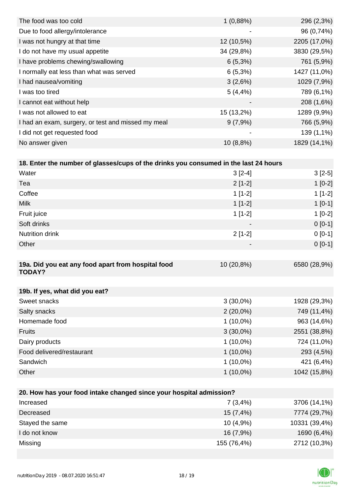| The food was too cold                              | 1(0,88%)                 | 296 (2,3%)   |
|----------------------------------------------------|--------------------------|--------------|
| Due to food allergy/intolerance                    | -                        | 96 (0,74%)   |
| I was not hungry at that time                      | 12 (10,5%)               | 2205 (17,0%) |
| I do not have my usual appetite                    | 34 (29,8%)               | 3830 (29,5%) |
| I have problems chewing/swallowing                 | $6(5,3\%)$               | 761 (5,9%)   |
| I normally eat less than what was served           | $6(5,3\%)$               | 1427 (11,0%) |
| I had nausea/vomiting                              | 3(2,6%)                  | 1029 (7,9%)  |
| I was too tired                                    | $5(4, 4\%)$              | 789 (6,1%)   |
| I cannot eat without help                          | $\overline{\phantom{a}}$ | 208 (1,6%)   |
| I was not allowed to eat                           | 15 (13,2%)               | 1289 (9,9%)  |
| I had an exam, surgery, or test and missed my meal | 9(7,9%)                  | 766 (5,9%)   |
| I did not get requested food                       | -                        | 139 (1,1%)   |
| No answer given                                    | $10(8,8\%)$              | 1829 (14,1%) |
|                                                    |                          |              |

## **18. Enter the number of glasses/cups of the drinks you consumed in the last 24 hours**

| Water                                                               | $3[2-4]$                 | $3[2-5]$     |  |  |
|---------------------------------------------------------------------|--------------------------|--------------|--|--|
| Tea                                                                 | $2[1-2]$                 | $1[0-2]$     |  |  |
| Coffee                                                              | $1[1-2]$                 | $1[1-2]$     |  |  |
| <b>Milk</b>                                                         | $1[1-2]$                 | $1[0-1]$     |  |  |
| Fruit juice                                                         | $1[1-2]$                 | $1[0-2]$     |  |  |
| Soft drinks                                                         |                          | $0[0-1]$     |  |  |
| <b>Nutrition drink</b>                                              | $2[1-2]$                 | $0[0-1]$     |  |  |
| Other                                                               | $\overline{\phantom{a}}$ | $0[0-1]$     |  |  |
|                                                                     |                          |              |  |  |
| 19a. Did you eat any food apart from hospital food<br><b>TODAY?</b> | 10 (20,8%)               | 6580 (28,9%) |  |  |
|                                                                     |                          |              |  |  |
| 19b. If yes, what did you eat?                                      |                          |              |  |  |
| Sweet snacks                                                        | $3(30,0\%)$              | 1928 (29,3%) |  |  |
| Salty snacks                                                        | $2(20,0\%)$              | 749 (11,4%)  |  |  |
| Homemade food                                                       | $1(10,0\%)$              | 963 (14,6%)  |  |  |
| <b>Fruits</b>                                                       | $3(30,0\%)$              | 2551 (38,8%) |  |  |
| Dairy products                                                      | $1(10,0\%)$              | 724 (11,0%)  |  |  |
| Food delivered/restaurant                                           | $1(10,0\%)$              | 293 (4,5%)   |  |  |
| Sandwich                                                            | $1(10,0\%)$              | 421 (6,4%)   |  |  |
| Other                                                               | $1(10,0\%)$              | 1042 (15,8%) |  |  |
|                                                                     |                          |              |  |  |
| 20. How has your food intake changed since your hospital admission? |                          |              |  |  |

| For their that your tool minime changed onles your hooping admitioner. |             |               |
|------------------------------------------------------------------------|-------------|---------------|
| Increased                                                              | 7(3,4%)     | 3706 (14,1%)  |
| Decreased                                                              | 15 (7,4%)   | 7774 (29,7%)  |
| Stayed the same                                                        | $10(4,9\%)$ | 10331 (39,4%) |
| I do not know                                                          | 16 (7,9%)   | 1690 (6,4%)   |
| Missing                                                                | 155 (76,4%) | 2712 (10,3%)  |